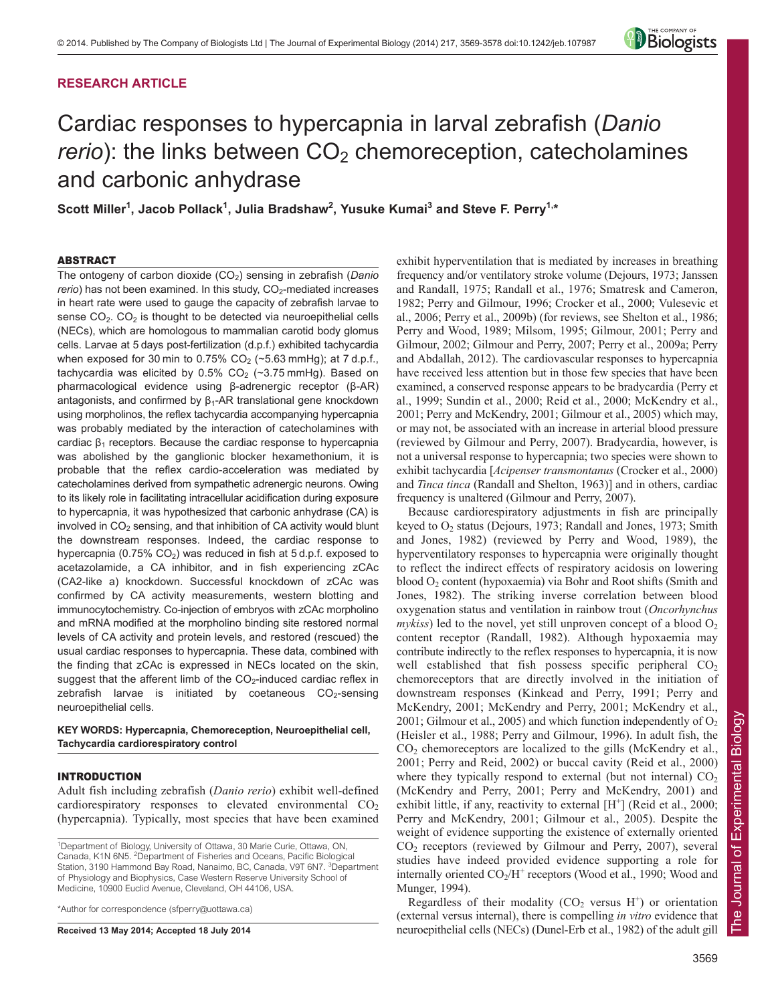# **RESEARCH ARTICLE**



# Cardiac responses to hypercapnia in larval zebrafish (*Danio rerio*): the links between CO<sub>2</sub> chemoreception, catecholamines and carbonic anhydrase

Scott Miller<sup>1</sup>, Jacob Pollack<sup>1</sup>, Julia Bradshaw<sup>2</sup>, Yusuke Kumai<sup>3</sup> and Steve F. Perry<sup>1,\*</sup>

# ABSTRACT

The ontogeny of carbon dioxide (CO<sub>2</sub>) sensing in zebrafish (Danio *rerio*) has not been examined. In this study, CO<sub>2</sub>-mediated increases in heart rate were used to gauge the capacity of zebrafish larvae to sense  $CO<sub>2</sub>$ .  $CO<sub>2</sub>$  is thought to be detected via neuroepithelial cells (NECs), which are homologous to mammalian carotid body glomus cells. Larvae at 5 days post-fertilization (d.p.f.) exhibited tachycardia when exposed for 30 min to 0.75%  $CO<sub>2</sub>$  (~5.63 mmHg); at 7 d.p.f., tachycardia was elicited by  $0.5\%$  CO<sub>2</sub> (~3.75 mmHg). Based on pharmacological evidence using β-adrenergic receptor (β-AR) antagonists, and confirmed by  $β₁$ -AR translational gene knockdown using morpholinos, the reflex tachycardia accompanying hypercapnia was probably mediated by the interaction of catecholamines with cardiac  $β_1$  receptors. Because the cardiac response to hypercapnia was abolished by the ganglionic blocker hexamethonium, it is probable that the reflex cardio-acceleration was mediated by catecholamines derived from sympathetic adrenergic neurons. Owing to its likely role in facilitating intracellular acidification during exposure to hypercapnia, it was hypothesized that carbonic anhydrase (CA) is involved in  $CO<sub>2</sub>$  sensing, and that inhibition of CA activity would blunt the downstream responses. Indeed, the cardiac response to hypercapnia (0.75%  $CO<sub>2</sub>$ ) was reduced in fish at 5 d.p.f. exposed to acetazolamide, a CA inhibitor, and in fish experiencing zCAc (CA2-like a) knockdown. Successful knockdown of zCAc was confirmed by CA activity measurements, western blotting and immunocytochemistry. Co-injection of embryos with zCAc morpholino and mRNA modified at the morpholino binding site restored normal levels of CA activity and protein levels, and restored (rescued) the usual cardiac responses to hypercapnia. These data, combined with the finding that zCAc is expressed in NECs located on the skin, suggest that the afferent limb of the  $CO<sub>2</sub>$ -induced cardiac reflex in zebrafish larvae is initiated by coetaneous  $CO<sub>2</sub>$ -sensing neuroepithelial cells.

# **KEY WORDS: Hypercapnia, Chemoreception, Neuroepithelial cell, Tachycardia cardiorespiratory control**

# INTRODUCTION

Adult fish including zebrafish (*Danio rerio*) exhibit well-defined cardiorespiratory responses to elevated environmental  $CO<sub>2</sub>$ (hypercapnia). Typically, most species that have been examined

\*Author for correspondence (sfperry@uottawa.ca)

**Received 13 May 2014; Accepted 18 July 2014**

exhibit hyperventilation that is mediated by increases in breathing frequency and/or ventilatory stroke volume (Dejours, 1973; Janssen and Randall, 1975; Randall et al., 1976; Smatresk and Cameron, 1982; Perry and Gilmour, 1996; Crocker et al., 2000; Vulesevic et al., 2006; Perry et al., 2009b) (for reviews, see Shelton et al., 1986; Perry and Wood, 1989; Milsom, 1995; Gilmour, 2001; Perry and Gilmour, 2002; Gilmour and Perry, 2007; Perry et al., 2009a; Perry and Abdallah, 2012). The cardiovascular responses to hypercapnia have received less attention but in those few species that have been examined, a conserved response appears to be bradycardia (Perry et al., 1999; Sundin et al., 2000; Reid et al., 2000; McKendry et al., 2001; Perry and McKendry, 2001; Gilmour et al., 2005) which may, or may not, be associated with an increase in arterial blood pressure (reviewed by Gilmour and Perry, 2007). Bradycardia, however, is not a universal response to hypercapnia; two species were shown to exhibit tachycardia [*Acipenser transmontanus* (Crocker et al., 2000) and *Tinca tinca* (Randall and Shelton, 1963)] and in others, cardiac frequency is unaltered (Gilmour and Perry, 2007).

Because cardiorespiratory adjustments in fish are principally keyed to  $O_2$  status (Dejours, 1973; Randall and Jones, 1973; Smith and Jones, 1982) (reviewed by Perry and Wood, 1989), the hyperventilatory responses to hypercapnia were originally thought to reflect the indirect effects of respiratory acidosis on lowering blood  $O_2$  content (hypoxaemia) via Bohr and Root shifts (Smith and Jones, 1982). The striking inverse correlation between blood oxygenation status and ventilation in rainbow trout (*Oncorhynchus*  $mykiss$ ) led to the novel, yet still unproven concept of a blood  $O<sub>2</sub>$ content receptor (Randall, 1982). Although hypoxaemia may contribute indirectly to the reflex responses to hypercapnia, it is now well established that fish possess specific peripheral  $CO<sub>2</sub>$ chemoreceptors that are directly involved in the initiation of downstream responses (Kinkead and Perry, 1991; Perry and McKendry, 2001; McKendry and Perry, 2001; McKendry et al., 2001; Gilmour et al., 2005) and which function independently of  $O<sub>2</sub>$ (Heisler et al., 1988; Perry and Gilmour, 1996). In adult fish, the  $CO<sub>2</sub>$  chemoreceptors are localized to the gills (McKendry et al., 2001; Perry and Reid, 2002) or buccal cavity (Reid et al., 2000) where they typically respond to external (but not internal)  $CO<sub>2</sub>$ (McKendry and Perry, 2001; Perry and McKendry, 2001) and exhibit little, if any, reactivity to external  $[H^+]$  (Reid et al., 2000; Perry and McKendry, 2001; Gilmour et al., 2005). Despite the weight of evidence supporting the existence of externally oriented CO2 receptors (reviewed by Gilmour and Perry, 2007), several studies have indeed provided evidence supporting a role for internally oriented  $CO<sub>2</sub>/H<sup>+</sup>$  receptors (Wood et al., 1990; Wood and Munger, 1994).

Regardless of their modality ( $CO<sub>2</sub>$  versus H<sup>+</sup>) or orientation (external versus internal), there is compelling *in vitro* evidence that neuroepithelial cells (NECs) (Dunel-Erb et al., 1982) of the adult gill

<sup>&</sup>lt;sup>1</sup>Department of Biology, University of Ottawa, 30 Marie Curie, Ottawa, ON, Canada, K1N 6N5. <sup>2</sup>Department of Fisheries and Oceans, Pacific Biological Station, 3190 Hammond Bay Road, Nanaimo, BC, Canada, V9T 6N7. <sup>3</sup>Department of Physiology and Biophysics, Case Western Reserve University School of Medicine, 10900 Euclid Avenue, Cleveland, OH 44106, USA.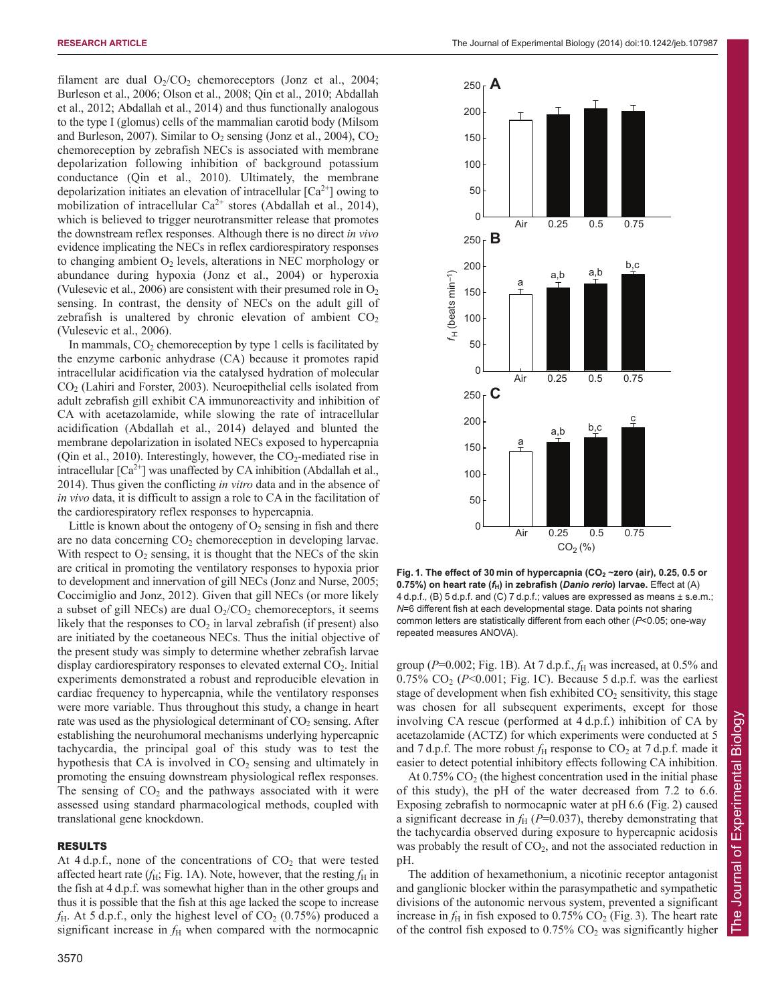filament are dual  $O_2/CO_2$  chemoreceptors (Jonz et al., 2004; Burleson et al., 2006; Olson et al., 2008; Qin et al., 2010; Abdallah et al., 2012; Abdallah et al., 2014) and thus functionally analogous to the type I (glomus) cells of the mammalian carotid body (Milsom and Burleson, 2007). Similar to  $O_2$  sensing (Jonz et al., 2004),  $CO_2$ chemoreception by zebrafish NECs is associated with membrane depolarization following inhibition of background potassium conductance (Qin et al., 2010). Ultimately, the membrane depolarization initiates an elevation of intracellular  $\lceil Ca^{2+} \rceil$  owing to mobilization of intracellular  $Ca^{2+}$  stores (Abdallah et al., 2014), which is believed to trigger neurotransmitter release that promotes the downstream reflex responses. Although there is no direct *in vivo* evidence implicating the NECs in reflex cardiorespiratory responses to changing ambient  $O_2$  levels, alterations in NEC morphology or abundance during hypoxia (Jonz et al., 2004) or hyperoxia (Vulesevic et al., 2006) are consistent with their presumed role in  $O_2$ sensing. In contrast, the density of NECs on the adult gill of zebrafish is unaltered by chronic elevation of ambient  $CO<sub>2</sub>$ (Vulesevic et al., 2006).

In mammals,  $CO<sub>2</sub>$  chemoreception by type 1 cells is facilitated by the enzyme carbonic anhydrase (CA) because it promotes rapid intracellular acidification via the catalysed hydration of molecular CO2 (Lahiri and Forster, 2003). Neuroepithelial cells isolated from adult zebrafish gill exhibit CA immunoreactivity and inhibition of CA with acetazolamide, while slowing the rate of intracellular acidification (Abdallah et al., 2014) delayed and blunted the membrane depolarization in isolated NECs exposed to hypercapnia (Qin et al., 2010). Interestingly, however, the  $CO<sub>2</sub>$ -mediated rise in intracellular  $[Ca^{2+}]$  was unaffected by CA inhibition (Abdallah et al., 2014). Thus given the conflicting *in vitro* data and in the absence of *in vivo* data, it is difficult to assign a role to CA in the facilitation of the cardiorespiratory reflex responses to hypercapnia.

Little is known about the ontogeny of  $O_2$  sensing in fish and there are no data concerning  $CO<sub>2</sub>$  chemoreception in developing larvae. With respect to  $O_2$  sensing, it is thought that the NECs of the skin are critical in promoting the ventilatory responses to hypoxia prior to development and innervation of gill NECs (Jonz and Nurse, 2005; Coccimiglio and Jonz, 2012). Given that gill NECs (or more likely a subset of gill NECs) are dual  $O_2/CO_2$  chemoreceptors, it seems likely that the responses to  $CO<sub>2</sub>$  in larval zebrafish (if present) also are initiated by the coetaneous NECs. Thus the initial objective of the present study was simply to determine whether zebrafish larvae display cardiorespiratory responses to elevated external  $CO<sub>2</sub>$ . Initial experiments demonstrated a robust and reproducible elevation in cardiac frequency to hypercapnia, while the ventilatory responses were more variable. Thus throughout this study, a change in heart rate was used as the physiological determinant of  $CO<sub>2</sub>$  sensing. After establishing the neurohumoral mechanisms underlying hypercapnic tachycardia, the principal goal of this study was to test the hypothesis that CA is involved in  $CO<sub>2</sub>$  sensing and ultimately in promoting the ensuing downstream physiological reflex responses. The sensing of  $CO<sub>2</sub>$  and the pathways associated with it were assessed using standard pharmacological methods, coupled with translational gene knockdown.

#### RESULTS

At 4 d.p.f., none of the concentrations of  $CO<sub>2</sub>$  that were tested affected heart rate  $(f_H, Fig. 1A)$ . Note, however, that the resting  $f_H$  in the fish at 4 d.p.f. was somewhat higher than in the other groups and thus it is possible that the fish at this age lacked the scope to increase  $f_{\rm H}$ . At 5 d.p.f., only the highest level of  $CO_2$  (0.75%) produced a significant increase in  $f<sub>H</sub>$  when compared with the normocapnic



Fig. 1. The effect of 30 min of hypercapnia (CO<sub>2</sub> ~zero (air), 0.25, 0.5 or **0.75%) on heart rate (***f***H) in zebrafish (***Danio rerio***) larvae.** Effect at (A) 4 d.p.f., (B) 5 d.p.f. and (C) 7 d.p.f.; values are expressed as means ± s.e.m.; *N*=6 different fish at each developmental stage. Data points not sharing common letters are statistically different from each other (*P*<0.05; one-way repeated measures ANOVA).

group (*P*=0.002; Fig. 1B). At 7 d.p.f., *f*<sup>H</sup> was increased, at 0.5% and  $0.75\%$  CO<sub>2</sub> ( $P<0.001$ ; Fig. 1C). Because 5 d.p.f. was the earliest stage of development when fish exhibited  $CO<sub>2</sub>$  sensitivity, this stage was chosen for all subsequent experiments, except for those involving CA rescue (performed at 4 d.p.f.) inhibition of CA by acetazolamide (ACTZ) for which experiments were conducted at 5 and 7 d.p.f. The more robust  $f_{\rm H}$  response to  $\rm CO_2$  at 7 d.p.f. made it easier to detect potential inhibitory effects following CA inhibition.

At  $0.75\%$  CO<sub>2</sub> (the highest concentration used in the initial phase of this study), the pH of the water decreased from 7.2 to 6.6. Exposing zebrafish to normocapnic water at pH 6.6 (Fig. 2) caused a significant decrease in  $f_H$  ( $P=0.037$ ), thereby demonstrating that the tachycardia observed during exposure to hypercapnic acidosis was probably the result of  $CO<sub>2</sub>$ , and not the associated reduction in pH.

The addition of hexamethonium, a nicotinic receptor antagonist and ganglionic blocker within the parasympathetic and sympathetic divisions of the autonomic nervous system, prevented a significant increase in  $f_H$  in fish exposed to 0.75%  $CO_2$  (Fig. 3). The heart rate of the control fish exposed to  $0.75\%$  CO<sub>2</sub> was significantly higher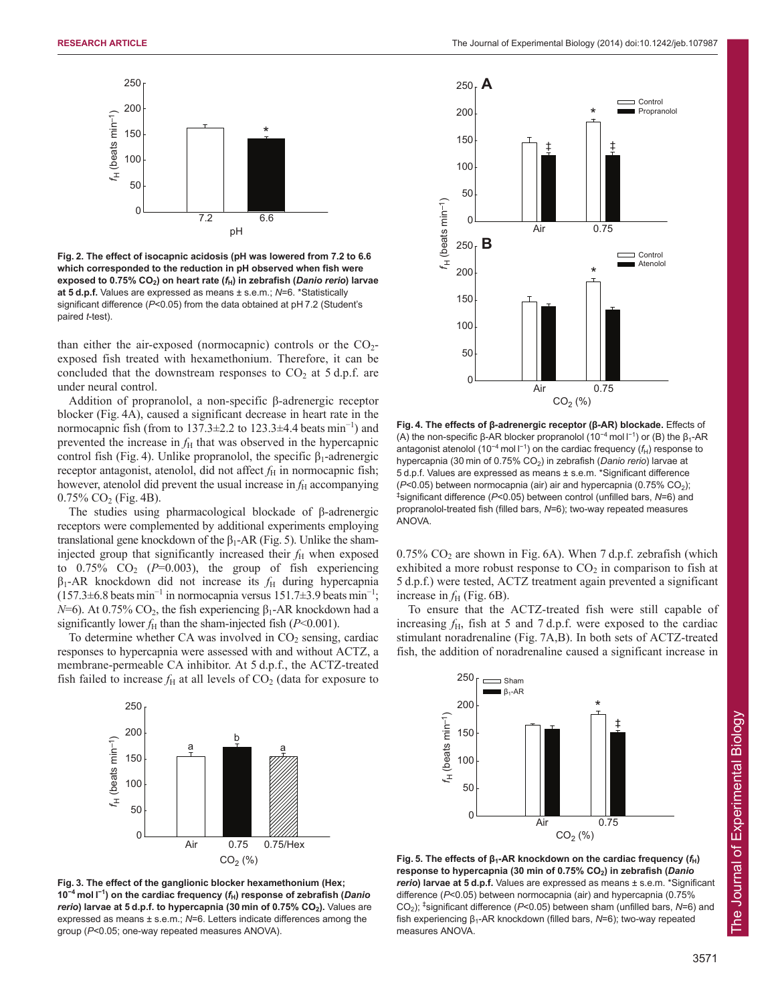

**Fig. 2. The effect of isocapnic acidosis (pH was lowered from 7.2 to 6.6 which corresponded to the reduction in pH observed when fish were exposed to 0.75% CO2) on heart rate (***f***H) in zebrafish (***Danio rerio***) larvae at 5 d.p.f.** Values are expressed as means ± s.e.m.; *N*=6. \*Statistically significant difference (*P*<0.05) from the data obtained at pH 7.2 (Student's paired *t*-test).

than either the air-exposed (normocapnic) controls or the  $CO<sub>2</sub>$ exposed fish treated with hexamethonium. Therefore, it can be concluded that the downstream responses to  $CO<sub>2</sub>$  at 5 d.p.f. are under neural control.

Addition of propranolol, a non-specific β-adrenergic receptor blocker (Fig. 4A), caused a significant decrease in heart rate in the normocapnic fish (from to 137.3±2.2 to 123.3±4.4 beats min<sup>−</sup><sup>1</sup> ) and prevented the increase in  $f<sub>H</sub>$  that was observed in the hypercapnic control fish (Fig. 4). Unlike propranolol, the specific  $β_1$ -adrenergic receptor antagonist, atenolol, did not affect  $f<sub>H</sub>$  in normocapnic fish; however, atenolol did prevent the usual increase in  $f<sub>H</sub>$  accompanying  $0.75\%$  CO<sub>2</sub> (Fig. 4B).

The studies using pharmacological blockade of β-adrenergic receptors were complemented by additional experiments employing translational gene knockdown of the  $β_1$ -AR (Fig. 5). Unlike the shaminjected group that significantly increased their  $f_{\rm H}$  when exposed to  $0.75\%$  CO<sub>2</sub> ( $P=0.003$ ), the group of fish experiencing  $\beta_1$ -AR knockdown did not increase its  $f_H$  during hypercapnia  $(157.3\pm6.8$  beats min<sup>-1</sup> in normocapnia versus 151.7±3.9 beats min<sup>-1</sup>; *N*=6). At 0.75% CO<sub>2</sub>, the fish experiencing  $β_1$ -AR knockdown had a significantly lower  $f_H$  than the sham-injected fish ( $P<0.001$ ).

To determine whether CA was involved in  $CO<sub>2</sub>$  sensing, cardiac responses to hypercapnia were assessed with and without ACTZ, a membrane-permeable CA inhibitor. At 5 d.p.f., the ACTZ-treated fish failed to increase  $f_H$  at all levels of  $CO_2$  (data for exposure to



**Fig. 3. The effect of the ganglionic blocker hexamethonium (Hex; 10<sup>−</sup><sup>4</sup> mol l −1 ) on the cardiac frequency (***f***H) response of zebrafish (***Danio rerio*) larvae at 5 d.p.f. to hypercapnia (30 min of 0.75% CO<sub>2</sub>). Values are expressed as means ± s.e.m.; *N*=6. Letters indicate differences among the group (*P*<0.05; one-way repeated measures ANOVA).



**Fig. 4. The effects of β-adrenergic receptor (β-AR) blockade.** Effects of (A) the non-specific  $\beta$ -AR blocker propranolol (10<sup>-4</sup> mol l<sup>-1</sup>) or (B) the  $\beta_1$ -AR antagonist atenolol (10<sup>-4</sup> mol l<sup>-1</sup>) on the cardiac frequency (f<sub>H</sub>) response to hypercapnia (30 min of 0.75% CO2) in zebrafish (*Danio rerio*) larvae at 5 d.p.f. Values are expressed as means ± s.e.m. \*Significant difference ( $P$ <0.05) between normocapnia (air) air and hypercapnia (0.75% CO<sub>2</sub>); ‡ significant difference (*P*<0.05) between control (unfilled bars, *N*=6) and propranolol-treated fish (filled bars, *N*=6); two-way repeated measures ANOVA.

 $0.75\%$  CO<sub>2</sub> are shown in Fig. 6A). When 7 d.p.f. zebrafish (which exhibited a more robust response to  $CO<sub>2</sub>$  in comparison to fish at 5 d.p.f.) were tested, ACTZ treatment again prevented a significant increase in  $f_H$  (Fig. 6B).

To ensure that the ACTZ-treated fish were still capable of increasing  $f_{\rm H}$ , fish at 5 and 7 d.p.f. were exposed to the cardiac stimulant noradrenaline (Fig. 7A,B). In both sets of ACTZ-treated fish, the addition of noradrenaline caused a significant increase in



**Fig. 5. The effects of β1-AR knockdown on the cardiac frequency (***f***H) response to hypercapnia (30 min of 0.75% CO2) in zebrafish (***Danio rerio***) larvae at 5 d.p.f.** Values are expressed as means ± s.e.m. \*Significant difference (*P*<0.05) between normocapnia (air) and hypercapnia (0.75% CO2); ‡ significant difference (*P*<0.05) between sham (unfilled bars, *N*=6) and fish experiencing β<sub>1</sub>-AR knockdown (filled bars, N=6); two-way repeated measures ANOVA.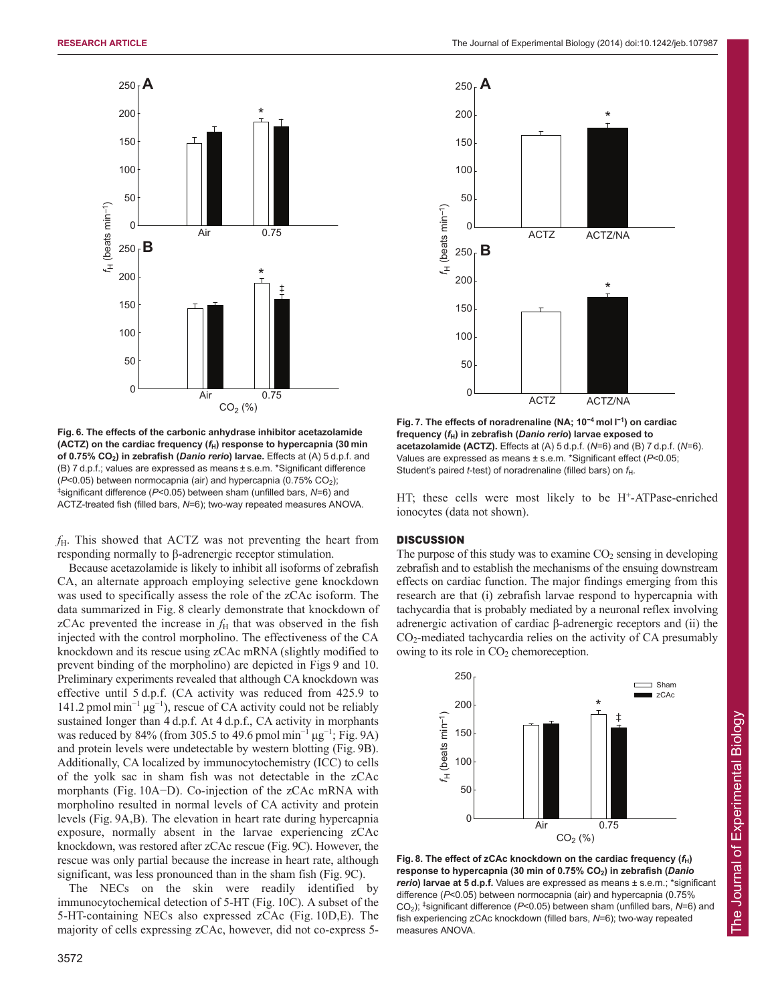

**Fig. 6. The effects of the carbonic anhydrase inhibitor acetazolamide (ACTZ) on the cardiac frequency (***f***H) response to hypercapnia (30 min of 0.75% CO2) in zebrafish (***Danio rerio***) larvae.** Effects at (A) 5 d.p.f. and (B) 7 d.p.f.; values are expressed as means ± s.e.m. \*Significant difference ( $P$ <0.05) between normocapnia (air) and hypercapnia (0.75% CO<sub>2</sub>); ‡ significant difference (*P*<0.05) between sham (unfilled bars, *N*=6) and ACTZ-treated fish (filled bars, *N*=6); two-way repeated measures ANOVA.

*f*H. This showed that ACTZ was not preventing the heart from responding normally to β-adrenergic receptor stimulation.

Because acetazolamide is likely to inhibit all isoforms of zebrafish CA, an alternate approach employing selective gene knockdown was used to specifically assess the role of the zCAc isoform. The data summarized in Fig. 8 clearly demonstrate that knockdown of zCAc prevented the increase in  $f<sub>H</sub>$  that was observed in the fish injected with the control morpholino. The effectiveness of the CA knockdown and its rescue using zCAc mRNA (slightly modified to prevent binding of the morpholino) are depicted in Figs 9 and 10. Preliminary experiments revealed that although CA knockdown was effective until 5 d.p.f. (CA activity was reduced from 425.9 to 141.2 pmol min<sup>−</sup><sup>1</sup> μg<sup>−</sup><sup>1</sup> ), rescue of CA activity could not be reliably sustained longer than 4 d.p.f. At 4 d.p.f., CA activity in morphants was reduced by 84% (from 305.5 to 49.6 pmol min<sup>-1</sup>  $\mu$ g<sup>-1</sup>; Fig. 9A) and protein levels were undetectable by western blotting (Fig. 9B). Additionally, CA localized by immunocytochemistry (ICC) to cells of the yolk sac in sham fish was not detectable in the zCAc morphants (Fig. 10A−D). Co-injection of the zCAc mRNA with morpholino resulted in normal levels of CA activity and protein levels (Fig. 9A,B). The elevation in heart rate during hypercapnia exposure, normally absent in the larvae experiencing zCAc knockdown, was restored after zCAc rescue (Fig. 9C). However, the rescue was only partial because the increase in heart rate, although significant, was less pronounced than in the sham fish (Fig. 9C).

The NECs on the skin were readily identified by immunocytochemical detection of 5-HT (Fig. 10C). A subset of the 5-HT-containing NECs also expressed zCAc (Fig. 10D,E). The majority of cells expressing zCAc, however, did not co-express 5-



**Fig. 7. The effects of noradrenaline (NA; 10<sup>−</sup><sup>4</sup> mol l −1 ) on cardiac frequency (***f***H) in zebrafish (***Danio rerio***) larvae exposed to acetazolamide (ACTZ).** Effects at (A) 5 d.p.f. (*N*=6) and (B) 7 d.p.f. (*N*=6). Values are expressed as means ± s.e.m. \*Significant effect (*P*<0.05; Student's paired *t*-test) of noradrenaline (filled bars) on  $f_H$ .

HT; these cells were most likely to be H<sup>+</sup>-ATPase-enriched ionocytes (data not shown).

## **DISCUSSION**

The purpose of this study was to examine  $CO<sub>2</sub>$  sensing in developing zebrafish and to establish the mechanisms of the ensuing downstream effects on cardiac function. The major findings emerging from this research are that (i) zebrafish larvae respond to hypercapnia with tachycardia that is probably mediated by a neuronal reflex involving adrenergic activation of cardiac β-adrenergic receptors and (ii) the CO2-mediated tachycardia relies on the activity of CA presumably owing to its role in  $CO<sub>2</sub>$  chemoreception.



**Fig. 8. The effect of zCAc knockdown on the cardiac frequency (***f***H) response to hypercapnia (30 min of 0.75% CO2) in zebrafish (***Danio rerio***) larvae at 5 d.p.f.** Values are expressed as means ± s.e.m.; \*significant difference (*P*<0.05) between normocapnia (air) and hypercapnia (0.75% CO2); ‡ significant difference (*P*<0.05) between sham (unfilled bars, *N*=6) and fish experiencing zCAc knockdown (filled bars, *N*=6); two-way repeated measures ANOVA.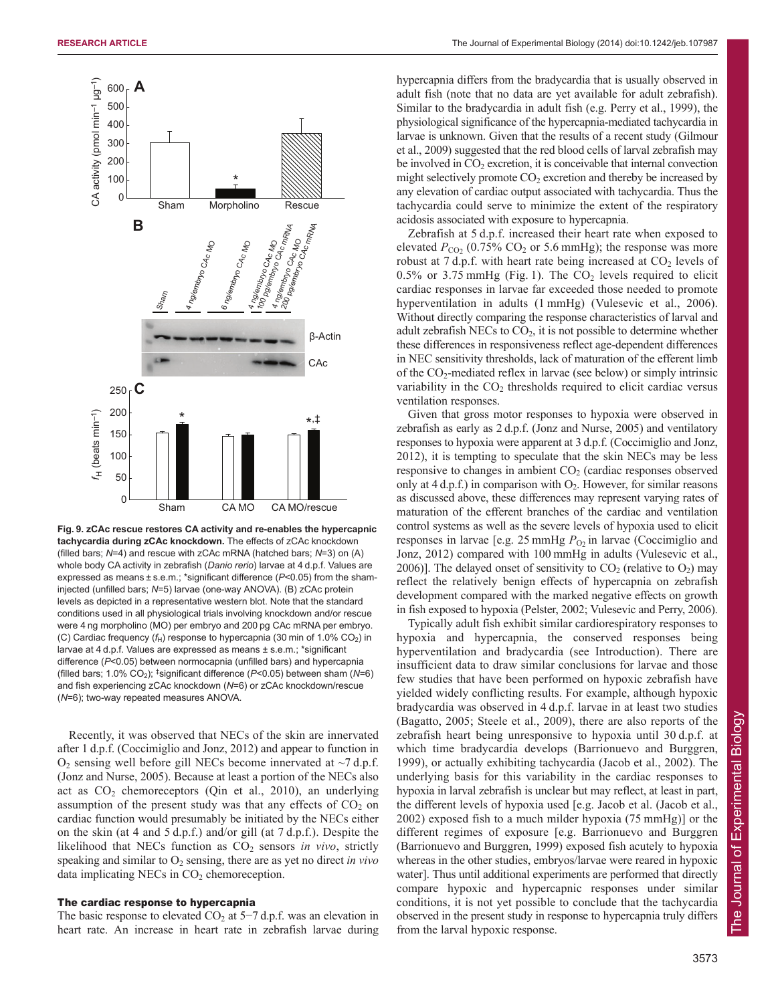

**Fig. 9. zCAc rescue restores CA activity and re-enables the hypercapnic tachycardia during zCAc knockdown.** The effects of zCAc knockdown (filled bars; *N*=4) and rescue with zCAc mRNA (hatched bars; *N*=3) on (A) whole body CA activity in zebrafish (*Danio rerio*) larvae at 4 d.p.f. Values are expressed as means ± s.e.m.; \*significant difference (*P*<0.05) from the shaminjected (unfilled bars; *N*=5) larvae (one-way ANOVA). (B) zCAc protein levels as depicted in a representative western blot. Note that the standard conditions used in all physiological trials involving knockdown and/or rescue were 4 ng morpholino (MO) per embryo and 200 pg CAc mRNA per embryo. (C) Cardiac frequency  $(f_H)$  response to hypercapnia (30 min of 1.0% CO<sub>2</sub>) in larvae at 4 d.p.f. Values are expressed as means ± s.e.m.; \*significant difference (*P*<0.05) between normocapnia (unfilled bars) and hypercapnia (filled bars; 1.0% CO<sub>2</sub>); <sup>‡</sup>significant difference (P<0.05) between sham (N=6) and fish experiencing zCAc knockdown (*N*=6) or zCAc knockdown/rescue (*N*=6); two-way repeated measures ANOVA.

Recently, it was observed that NECs of the skin are innervated after 1 d.p.f. (Coccimiglio and Jonz, 2012) and appear to function in  $O_2$  sensing well before gill NECs become innervated at  $\sim$ 7 d.p.f. (Jonz and Nurse, 2005). Because at least a portion of the NECs also act as  $CO<sub>2</sub>$  chemoreceptors (Qin et al., 2010), an underlying assumption of the present study was that any effects of  $CO<sub>2</sub>$  on cardiac function would presumably be initiated by the NECs either on the skin (at 4 and 5 d.p.f.) and/or gill (at 7 d.p.f.). Despite the likelihood that NECs function as CO<sub>2</sub> sensors *in vivo*, strictly speaking and similar to  $O_2$  sensing, there are as yet no direct *in vivo* data implicating NECs in  $CO<sub>2</sub>$  chemoreception.

## The cardiac response to hypercapnia

The basic response to elevated  $CO_2$  at 5−7 d.p.f. was an elevation in heart rate. An increase in heart rate in zebrafish larvae during

hypercapnia differs from the bradycardia that is usually observed in adult fish (note that no data are yet available for adult zebrafish). Similar to the bradycardia in adult fish (e.g. Perry et al., 1999), the physiological significance of the hypercapnia-mediated tachycardia in larvae is unknown. Given that the results of a recent study (Gilmour et al., 2009) suggested that the red blood cells of larval zebrafish may be involved in  $CO<sub>2</sub>$  excretion, it is conceivable that internal convection might selectively promote  $CO<sub>2</sub>$  excretion and thereby be increased by any elevation of cardiac output associated with tachycardia. Thus the tachycardia could serve to minimize the extent of the respiratory acidosis associated with exposure to hypercapnia.

Zebrafish at 5 d.p.f. increased their heart rate when exposed to elevated  $P_{\text{CO}_2}$  (0.75% CO<sub>2</sub> or 5.6 mmHg); the response was more robust at  $7 d.p.f.$  with heart rate being increased at  $CO<sub>2</sub>$  levels of  $0.5\%$  or 3.75 mmHg (Fig. 1). The  $CO<sub>2</sub>$  levels required to elicit cardiac responses in larvae far exceeded those needed to promote hyperventilation in adults (1 mmHg) (Vulesevic et al., 2006). Without directly comparing the response characteristics of larval and adult zebrafish NECs to  $CO<sub>2</sub>$ , it is not possible to determine whether these differences in responsiveness reflect age-dependent differences in NEC sensitivity thresholds, lack of maturation of the efferent limb of the  $CO_2$ -mediated reflex in larvae (see below) or simply intrinsic variability in the  $CO<sub>2</sub>$  thresholds required to elicit cardiac versus ventilation responses.

Given that gross motor responses to hypoxia were observed in zebrafish as early as 2 d.p.f. (Jonz and Nurse, 2005) and ventilatory responses to hypoxia were apparent at 3 d.p.f. (Coccimiglio and Jonz, 2012), it is tempting to speculate that the skin NECs may be less responsive to changes in ambient  $CO<sub>2</sub>$  (cardiac responses observed only at  $4 d.p.f.$ ) in comparison with  $O<sub>2</sub>$ . However, for similar reasons as discussed above, these differences may represent varying rates of maturation of the efferent branches of the cardiac and ventilation control systems as well as the severe levels of hypoxia used to elicit responses in larvae [e.g.  $25 \text{ mmHg}$   $P_{\text{O}2}$  in larvae (Coccimiglio and Jonz, 2012) compared with 100 mmHg in adults (Vulesevic et al., 2006)]. The delayed onset of sensitivity to  $CO<sub>2</sub>$  (relative to  $O<sub>2</sub>$ ) may reflect the relatively benign effects of hypercapnia on zebrafish development compared with the marked negative effects on growth in fish exposed to hypoxia (Pelster, 2002; Vulesevic and Perry, 2006).

Typically adult fish exhibit similar cardiorespiratory responses to hypoxia and hypercapnia, the conserved responses being hyperventilation and bradycardia (see Introduction). There are insufficient data to draw similar conclusions for larvae and those few studies that have been performed on hypoxic zebrafish have yielded widely conflicting results. For example, although hypoxic bradycardia was observed in 4 d.p.f. larvae in at least two studies (Bagatto, 2005; Steele et al., 2009), there are also reports of the zebrafish heart being unresponsive to hypoxia until 30 d.p.f. at which time bradycardia develops (Barrionuevo and Burggren, 1999), or actually exhibiting tachycardia (Jacob et al., 2002). The underlying basis for this variability in the cardiac responses to hypoxia in larval zebrafish is unclear but may reflect, at least in part, the different levels of hypoxia used [e.g. Jacob et al. (Jacob et al., 2002) exposed fish to a much milder hypoxia (75 mmHg)] or the different regimes of exposure [e.g. Barrionuevo and Burggren (Barrionuevo and Burggren, 1999) exposed fish acutely to hypoxia whereas in the other studies, embryos/larvae were reared in hypoxic water]. Thus until additional experiments are performed that directly compare hypoxic and hypercapnic responses under similar conditions, it is not yet possible to conclude that the tachycardia observed in the present study in response to hypercapnia truly differs from the larval hypoxic response.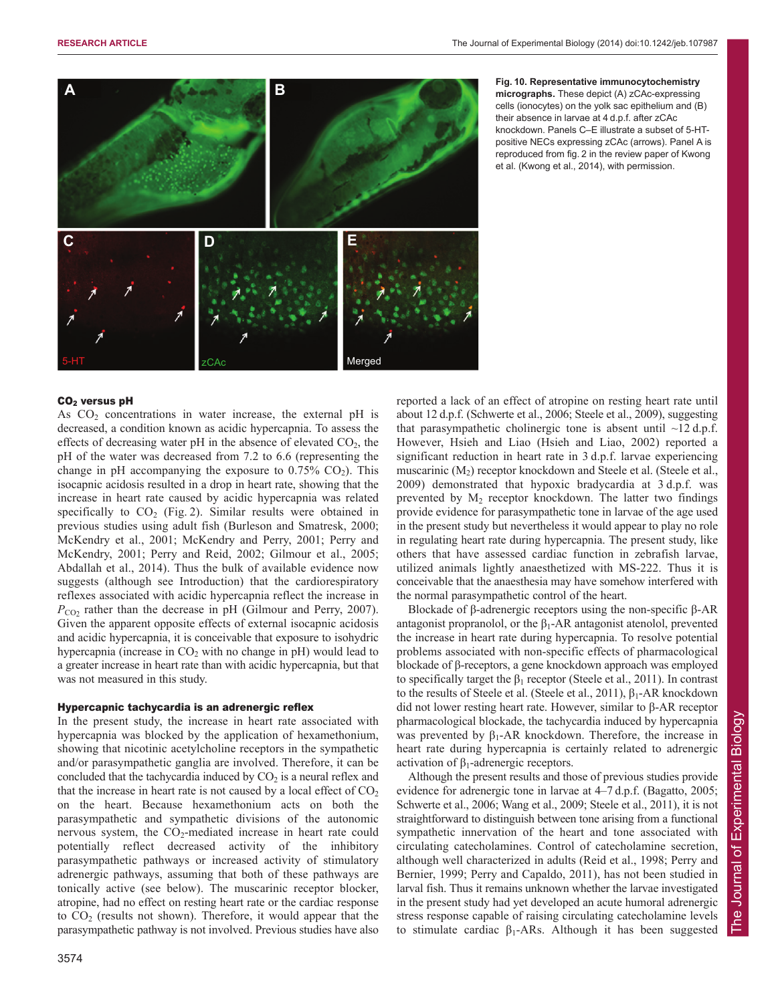

**Fig. 10. Representative immunocytochemistry micrographs.** These depict (A) zCAc-expressing cells (ionocytes) on the yolk sac epithelium and (B) their absence in larvae at 4 d.p.f. after zCAc knockdown. Panels C–E illustrate a subset of 5-HTpositive NECs expressing zCAc (arrows). Panel A is reproduced from fig. 2 in the review paper of Kwong et al. (Kwong et al., 2014), with permission.

## CO2 versus pH

As  $CO<sub>2</sub>$  concentrations in water increase, the external pH is decreased, a condition known as acidic hypercapnia. To assess the effects of decreasing water pH in the absence of elevated  $CO<sub>2</sub>$ , the pH of the water was decreased from 7.2 to 6.6 (representing the change in pH accompanying the exposure to  $0.75\%$  CO<sub>2</sub>). This isocapnic acidosis resulted in a drop in heart rate, showing that the increase in heart rate caused by acidic hypercapnia was related specifically to  $CO<sub>2</sub>$  (Fig. 2). Similar results were obtained in previous studies using adult fish (Burleson and Smatresk, 2000; McKendry et al., 2001; McKendry and Perry, 2001; Perry and McKendry, 2001; Perry and Reid, 2002; Gilmour et al., 2005; Abdallah et al., 2014). Thus the bulk of available evidence now suggests (although see Introduction) that the cardiorespiratory reflexes associated with acidic hypercapnia reflect the increase in  $P_{CO2}$  rather than the decrease in pH (Gilmour and Perry, 2007). Given the apparent opposite effects of external isocapnic acidosis and acidic hypercapnia, it is conceivable that exposure to isohydric hypercapnia (increase in  $CO<sub>2</sub>$  with no change in pH) would lead to a greater increase in heart rate than with acidic hypercapnia, but that was not measured in this study.

#### Hypercapnic tachycardia is an adrenergic reflex

In the present study, the increase in heart rate associated with hypercapnia was blocked by the application of hexamethonium, showing that nicotinic acetylcholine receptors in the sympathetic and/or parasympathetic ganglia are involved. Therefore, it can be concluded that the tachycardia induced by  $CO<sub>2</sub>$  is a neural reflex and that the increase in heart rate is not caused by a local effect of  $CO<sub>2</sub>$ on the heart. Because hexamethonium acts on both the parasympathetic and sympathetic divisions of the autonomic nervous system, the  $CO<sub>2</sub>$ -mediated increase in heart rate could potentially reflect decreased activity of the inhibitory parasympathetic pathways or increased activity of stimulatory adrenergic pathways, assuming that both of these pathways are tonically active (see below). The muscarinic receptor blocker, atropine, had no effect on resting heart rate or the cardiac response to  $CO<sub>2</sub>$  (results not shown). Therefore, it would appear that the parasympathetic pathway is not involved. Previous studies have also

3574

reported a lack of an effect of atropine on resting heart rate until about 12 d.p.f. (Schwerte et al., 2006; Steele et al., 2009), suggesting that parasympathetic cholinergic tone is absent until  $\sim$ 12 d.p.f. However, Hsieh and Liao (Hsieh and Liao, 2002) reported a significant reduction in heart rate in 3 d.p.f. larvae experiencing muscarinic (M<sub>2</sub>) receptor knockdown and Steele et al. (Steele et al., 2009) demonstrated that hypoxic bradycardia at 3 d.p.f. was prevented by  $M_2$  receptor knockdown. The latter two findings provide evidence for parasympathetic tone in larvae of the age used in the present study but nevertheless it would appear to play no role in regulating heart rate during hypercapnia. The present study, like others that have assessed cardiac function in zebrafish larvae, utilized animals lightly anaesthetized with MS-222. Thus it is conceivable that the anaesthesia may have somehow interfered with the normal parasympathetic control of the heart.

Blockade of β-adrenergic receptors using the non-specific β-AR antagonist propranolol, or the  $\beta_1$ -AR antagonist atenolol, prevented the increase in heart rate during hypercapnia. To resolve potential problems associated with non-specific effects of pharmacological blockade of β-receptors, a gene knockdown approach was employed to specifically target the  $\beta_1$  receptor (Steele et al., 2011). In contrast to the results of Steele et al. (Steele et al., 2011),  $\beta_1$ -AR knockdown did not lower resting heart rate. However, similar to β-AR receptor pharmacological blockade, the tachycardia induced by hypercapnia was prevented by  $\beta_1$ -AR knockdown. Therefore, the increase in heart rate during hypercapnia is certainly related to adrenergic activation of  $β_1$ -adrenergic receptors.

Although the present results and those of previous studies provide evidence for adrenergic tone in larvae at 4–7 d.p.f. (Bagatto, 2005; Schwerte et al., 2006; Wang et al., 2009; Steele et al., 2011), it is not straightforward to distinguish between tone arising from a functional sympathetic innervation of the heart and tone associated with circulating catecholamines. Control of catecholamine secretion, although well characterized in adults (Reid et al., 1998; Perry and Bernier, 1999; Perry and Capaldo, 2011), has not been studied in larval fish. Thus it remains unknown whether the larvae investigated in the present study had yet developed an acute humoral adrenergic stress response capable of raising circulating catecholamine levels to stimulate cardiac  $\beta_1$ -ARs. Although it has been suggested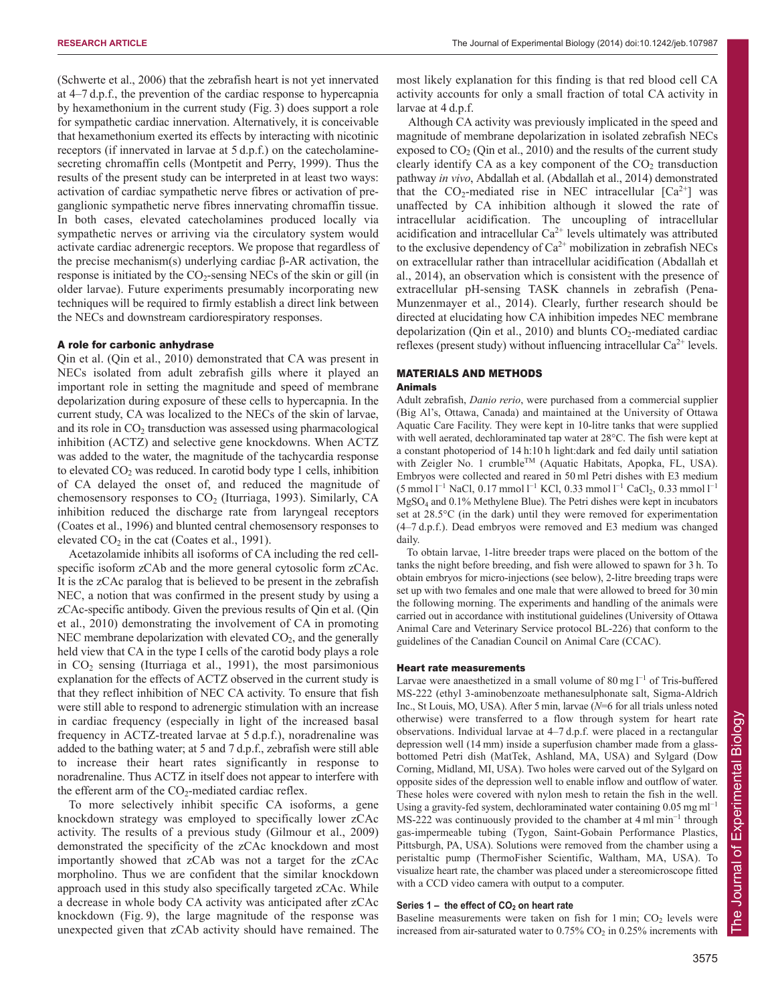(Schwerte et al., 2006) that the zebrafish heart is not yet innervated at 4–7 d.p.f., the prevention of the cardiac response to hypercapnia by hexamethonium in the current study (Fig. 3) does support a role for sympathetic cardiac innervation. Alternatively, it is conceivable that hexamethonium exerted its effects by interacting with nicotinic receptors (if innervated in larvae at 5 d.p.f.) on the catecholaminesecreting chromaffin cells (Montpetit and Perry, 1999). Thus the results of the present study can be interpreted in at least two ways: activation of cardiac sympathetic nerve fibres or activation of preganglionic sympathetic nerve fibres innervating chromaffin tissue. In both cases, elevated catecholamines produced locally via sympathetic nerves or arriving via the circulatory system would activate cardiac adrenergic receptors. We propose that regardless of the precise mechanism(s) underlying cardiac β-AR activation, the response is initiated by the  $CO_2$ -sensing NECs of the skin or gill (in older larvae). Future experiments presumably incorporating new techniques will be required to firmly establish a direct link between the NECs and downstream cardiorespiratory responses.

## A role for carbonic anhydrase

Qin et al. (Qin et al., 2010) demonstrated that CA was present in NECs isolated from adult zebrafish gills where it played an important role in setting the magnitude and speed of membrane depolarization during exposure of these cells to hypercapnia. In the current study, CA was localized to the NECs of the skin of larvae, and its role in  $CO<sub>2</sub>$  transduction was assessed using pharmacological inhibition (ACTZ) and selective gene knockdowns. When ACTZ was added to the water, the magnitude of the tachycardia response to elevated  $CO<sub>2</sub>$  was reduced. In carotid body type 1 cells, inhibition of CA delayed the onset of, and reduced the magnitude of chemosensory responses to  $CO<sub>2</sub>$  (Iturriaga, 1993). Similarly, CA inhibition reduced the discharge rate from laryngeal receptors (Coates et al., 1996) and blunted central chemosensory responses to elevated  $CO<sub>2</sub>$  in the cat (Coates et al., 1991).

Acetazolamide inhibits all isoforms of CA including the red cellspecific isoform zCAb and the more general cytosolic form zCAc. It is the zCAc paralog that is believed to be present in the zebrafish NEC, a notion that was confirmed in the present study by using a zCAc-specific antibody. Given the previous results of Qin et al. (Qin et al., 2010) demonstrating the involvement of CA in promoting NEC membrane depolarization with elevated  $CO<sub>2</sub>$ , and the generally held view that CA in the type I cells of the carotid body plays a role in  $CO<sub>2</sub>$  sensing (Iturriaga et al., 1991), the most parsimonious explanation for the effects of ACTZ observed in the current study is that they reflect inhibition of NEC CA activity. To ensure that fish were still able to respond to adrenergic stimulation with an increase in cardiac frequency (especially in light of the increased basal frequency in ACTZ-treated larvae at 5 d.p.f.), noradrenaline was added to the bathing water; at 5 and 7 d.p.f., zebrafish were still able to increase their heart rates significantly in response to noradrenaline. Thus ACTZ in itself does not appear to interfere with the efferent arm of the  $CO_2$ -mediated cardiac reflex.

To more selectively inhibit specific CA isoforms, a gene knockdown strategy was employed to specifically lower zCAc activity. The results of a previous study (Gilmour et al., 2009) demonstrated the specificity of the zCAc knockdown and most importantly showed that zCAb was not a target for the zCAc morpholino. Thus we are confident that the similar knockdown approach used in this study also specifically targeted zCAc. While a decrease in whole body CA activity was anticipated after zCAc knockdown (Fig. 9), the large magnitude of the response was unexpected given that zCAb activity should have remained. The most likely explanation for this finding is that red blood cell CA activity accounts for only a small fraction of total CA activity in larvae at 4 d.p.f.

Although CA activity was previously implicated in the speed and magnitude of membrane depolarization in isolated zebrafish NECs exposed to  $CO<sub>2</sub>$  (Qin et al., 2010) and the results of the current study clearly identify CA as a key component of the  $CO<sub>2</sub>$  transduction pathway *in vivo*, Abdallah et al. (Abdallah et al., 2014) demonstrated that the  $CO_2$ -mediated rise in NEC intracellular  $[Ca^{2+}]$  was unaffected by CA inhibition although it slowed the rate of intracellular acidification. The uncoupling of intracellular acidification and intracellular  $Ca^{2+}$  levels ultimately was attributed to the exclusive dependency of  $Ca^{2+}$  mobilization in zebrafish NECs on extracellular rather than intracellular acidification (Abdallah et al., 2014), an observation which is consistent with the presence of extracellular pH-sensing TASK channels in zebrafish (Pena-Munzenmayer et al., 2014). Clearly, further research should be directed at elucidating how CA inhibition impedes NEC membrane depolarization (Qin et al., 2010) and blunts  $CO_2$ -mediated cardiac reflexes (present study) without influencing intracellular  $Ca^{2+}$  levels.

# MATERIALS AND METHODS

## Animals

Adult zebrafish, *Danio rerio*, were purchased from a commercial supplier (Big Al's, Ottawa, Canada) and maintained at the University of Ottawa Aquatic Care Facility. They were kept in 10-litre tanks that were supplied with well aerated, dechloraminated tap water at 28°C. The fish were kept at a constant photoperiod of 14 h:10 h light:dark and fed daily until satiation with Zeigler No. 1 crumble<sup>TM</sup> (Aquatic Habitats, Apopka, FL, USA). Embryos were collected and reared in 50 ml Petri dishes with E3 medium  $(5 \text{ mmol } 1^{-1} \text{ NaCl}, 0.17 \text{ mmol } 1^{-1} \text{ KCl}, 0.33 \text{ mmol } 1^{-1} \text{ CaCl}_2, 0.33 \text{ mmol } 1^{-1}$ MgSO4 and 0.1% Methylene Blue). The Petri dishes were kept in incubators set at 28.5°C (in the dark) until they were removed for experimentation (4–7 d.p.f.). Dead embryos were removed and E3 medium was changed daily.

To obtain larvae, 1-litre breeder traps were placed on the bottom of the tanks the night before breeding, and fish were allowed to spawn for 3 h. To obtain embryos for micro-injections (see below), 2-litre breeding traps were set up with two females and one male that were allowed to breed for 30 min the following morning. The experiments and handling of the animals were carried out in accordance with institutional guidelines (University of Ottawa Animal Care and Veterinary Service protocol BL-226) that conform to the guidelines of the Canadian Council on Animal Care (CCAC).

## Heart rate measurements

Larvae were anaesthetized in a small volume of 80 mg  $l^{-1}$  of Tris-buffered MS-222 (ethyl 3-aminobenzoate methanesulphonate salt, Sigma-Aldrich Inc., St Louis, MO, USA). After 5 min, larvae (*N*=6 for all trials unless noted otherwise) were transferred to a flow through system for heart rate observations. Individual larvae at 4–7 d.p.f. were placed in a rectangular depression well (14 mm) inside a superfusion chamber made from a glassbottomed Petri dish (MatTek, Ashland, MA, USA) and Sylgard (Dow Corning, Midland, MI, USA). Two holes were carved out of the Sylgard on opposite sides of the depression well to enable inflow and outflow of water. These holes were covered with nylon mesh to retain the fish in the well. Using a gravity-fed system, dechloraminated water containing 0.05 mg ml<sup>-1</sup> MS-222 was continuously provided to the chamber at 4 ml min<sup>−</sup><sup>1</sup> through gas-impermeable tubing (Tygon, Saint-Gobain Performance Plastics, Pittsburgh, PA, USA). Solutions were removed from the chamber using a peristaltic pump (ThermoFisher Scientific, Waltham, MA, USA). To visualize heart rate, the chamber was placed under a stereomicroscope fitted with a CCD video camera with output to a computer.

## Series 1 – the effect of CO<sub>2</sub> on heart rate

Baseline measurements were taken on fish for  $1 \text{ min}$ ;  $CO_2$  levels were increased from air-saturated water to  $0.75\%$  CO<sub>2</sub> in  $0.25\%$  increments with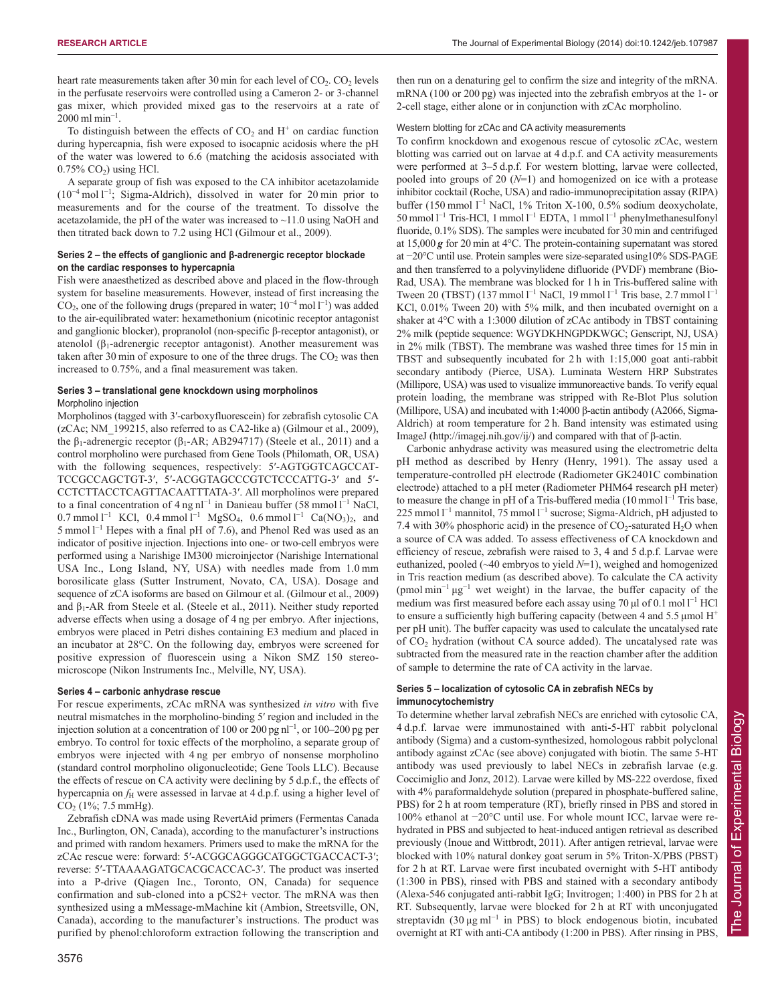heart rate measurements taken after 30 min for each level of  $CO<sub>2</sub>$ .  $CO<sub>2</sub>$  levels in the perfusate reservoirs were controlled using a Cameron 2- or 3-channel gas mixer, which provided mixed gas to the reservoirs at a rate of  $2000 \text{ ml min}^{-1}$ .

To distinguish between the effects of  $CO<sub>2</sub>$  and  $H<sup>+</sup>$  on cardiac function during hypercapnia, fish were exposed to isocapnic acidosis where the pH of the water was lowered to 6.6 (matching the acidosis associated with  $0.75\%$  CO<sub>2</sub>) using HCl.

A separate group of fish was exposed to the CA inhibitor acetazolamide (10<sup>−</sup><sup>4</sup> mol l −1 ; Sigma-Aldrich), dissolved in water for 20 min prior to measurements and for the course of the treatment. To dissolve the acetazolamide, the pH of the water was increased to  $\sim$ 11.0 using NaOH and then titrated back down to 7.2 using HCl (Gilmour et al., 2009).

## **Series 2 – the effects of ganglionic and β-adrenergic receptor blockade on the cardiac responses to hypercapnia**

Fish were anaesthetized as described above and placed in the flow-through system for baseline measurements. However, instead of first increasing the CO<sub>2</sub>, one of the following drugs (prepared in water;  $10^{-4}$  mol  $1^{-1}$ ) was added to the air-equilibrated water: hexamethonium (nicotinic receptor antagonist and ganglionic blocker), propranolol (non-specific β-receptor antagonist), or atenolol ( $β$ <sub>1</sub>-adrenergic receptor antagonist). Another measurement was taken after 30 min of exposure to one of the three drugs. The  $CO<sub>2</sub>$  was then increased to 0.75%, and a final measurement was taken.

## **Series 3 – translational gene knockdown using morpholinos** Morpholino injection

Morpholinos (tagged with 3′-carboxyfluorescein) for zebrafish cytosolic CA (zCAc; NM\_199215, also referred to as CA2-like a) (Gilmour et al., 2009), the β<sub>1</sub>-adrenergic receptor (β<sub>1</sub>-AR; AB294717) (Steele et al., 2011) and a control morpholino were purchased from Gene Tools (Philomath, OR, USA) with the following sequences, respectively: 5'-AGTGGTCAGCCAT-TCCGCCAGCTGT-3′, 5′-ACGGTAGCCCGTCTCCCATTG-3′ and 5′- CCTCTTACCTCAGTTACAATTTATA-3′. All morpholinos were prepared to a final concentration of 4 ng nl<sup>-1</sup> in Danieau buffer (58 mmol l<sup>-1</sup> NaCl, 0.7 mmol  $l^{-1}$  KCl, 0.4 mmol  $l^{-1}$  MgSO<sub>4</sub>, 0.6 mmol  $l^{-1}$  Ca(NO<sub>3</sub>)<sub>2</sub>, and 5 mmol  $1^{-1}$  Hepes with a final pH of 7.6), and Phenol Red was used as an indicator of positive injection. Injections into one- or two-cell embryos were performed using a Narishige IM300 microinjector (Narishige International USA Inc., Long Island, NY, USA) with needles made from 1.0 mm borosilicate glass (Sutter Instrument, Novato, CA, USA). Dosage and sequence of zCA isoforms are based on Gilmour et al. (Gilmour et al., 2009) and  $β<sub>1</sub>$ -AR from Steele et al. (Steele et al., 2011). Neither study reported adverse effects when using a dosage of 4 ng per embryo. After injections, embryos were placed in Petri dishes containing E3 medium and placed in an incubator at 28°C. On the following day, embryos were screened for positive expression of fluorescein using a Nikon SMZ 150 stereomicroscope (Nikon Instruments Inc., Melville, NY, USA).

## **Series 4 – carbonic anhydrase rescue**

For rescue experiments, zCAc mRNA was synthesized *in vitro* with five neutral mismatches in the morpholino-binding 5′ region and included in the injection solution at a concentration of 100 or 200 pg nl<sup>-1</sup>, or 100–200 pg per embryo. To control for toxic effects of the morpholino, a separate group of embryos were injected with 4 ng per embryo of nonsense morpholino (standard control morpholino oligonucleotide; Gene Tools LLC). Because the effects of rescue on CA activity were declining by 5 d.p.f., the effects of hypercapnia on  $f_H$  were assessed in larvae at 4 d.p.f. using a higher level of  $CO<sub>2</sub>$  (1%; 7.5 mmHg).

Zebrafish cDNA was made using RevertAid primers (Fermentas Canada Inc., Burlington, ON, Canada), according to the manufacturer's instructions and primed with random hexamers. Primers used to make the mRNA for the zCAc rescue were: forward: 5′-ACGGCAGGGCATGGCTGACCACT-3′; reverse: 5′-TTAAAAGATGCACGCACCAC-3′. The product was inserted into a P-drive (Qiagen Inc., Toronto, ON, Canada) for sequence confirmation and sub-cloned into a pCS2+ vector. The mRNA was then synthesized using a mMessage-mMachine kit (Ambion, Streetsville, ON, Canada), according to the manufacturer's instructions. The product was purified by phenol:chloroform extraction following the transcription and then run on a denaturing gel to confirm the size and integrity of the mRNA. mRNA (100 or 200 pg) was injected into the zebrafish embryos at the 1- or 2-cell stage, either alone or in conjunction with zCAc morpholino.

# Western blotting for zCAc and CA activity measurements

To confirm knockdown and exogenous rescue of cytosolic zCAc, western blotting was carried out on larvae at 4 d.p.f. and CA activity measurements were performed at 3–5 d.p.f. For western blotting, larvae were collected, pooled into groups of 20 (*N*=1) and homogenized on ice with a protease inhibitor cocktail (Roche, USA) and radio-immunoprecipitation assay (RIPA) buffer (150 mmol l<sup>−</sup><sup>1</sup> NaCl, 1% Triton X-100, 0.5% sodium deoxycholate, 50 mmol l<sup>-1</sup> Tris-HCl, 1 mmol l<sup>-1</sup> EDTA, 1 mmol l<sup>-1</sup> phenylmethanesulfonyl fluoride, 0.1% SDS). The samples were incubated for 30 min and centrifuged at 15,000 *g* for 20 min at 4°C. The protein-containing supernatant was stored at −20°C until use. Protein samples were size-separated using10% SDS-PAGE and then transferred to a polyvinylidene difluoride (PVDF) membrane (Bio-Rad, USA). The membrane was blocked for 1 h in Tris-buffered saline with Tween 20 (TBST) (137 mmol  $1^{-1}$  NaCl, 19 mmol  $1^{-1}$  Tris base, 2.7 mmol  $1^{-1}$ KCl, 0.01% Tween 20) with 5% milk, and then incubated overnight on a shaker at 4°C with a 1:3000 dilution of zCAc antibody in TBST containing 2% milk (peptide sequence: WGYDKHNGPDKWGC; Genscript, NJ, USA) in 2% milk (TBST). The membrane was washed three times for 15 min in TBST and subsequently incubated for 2 h with 1:15,000 goat anti-rabbit secondary antibody (Pierce, USA). Luminata Western HRP Substrates (Millipore, USA) was used to visualize immunoreactive bands. To verify equal protein loading, the membrane was stripped with Re-Blot Plus solution (Millipore, USA) and incubated with 1:4000 β-actin antibody (A2066, Sigma-Aldrich) at room temperature for 2 h. Band intensity was estimated using ImageJ (http://imagej.nih.gov/ij/) and compared with that of β-actin.

Carbonic anhydrase activity was measured using the electrometric delta pH method as described by Henry (Henry, 1991). The assay used a temperature-controlled pH electrode (Radiometer GK2401C combination electrode) attached to a pH meter (Radiometer PHM64 research pH meter) to measure the change in pH of a Tris-buffered media  $(10 \text{ mmol } l^{-1}$  Tris base, 225 mmol  $l^{-1}$  mannitol, 75 mmol  $l^{-1}$  sucrose; Sigma-Aldrich, pH adjusted to 7.4 with 30% phosphoric acid) in the presence of  $CO_2$ -saturated  $H_2O$  when a source of CA was added. To assess effectiveness of CA knockdown and efficiency of rescue, zebrafish were raised to 3, 4 and 5 d.p.f. Larvae were euthanized, pooled (~40 embryos to yield *N*=1), weighed and homogenized in Tris reaction medium (as described above). To calculate the CA activity  $(pmol min<sup>-1</sup> µg<sup>-1</sup>$  wet weight) in the larvae, the buffer capacity of the medium was first measured before each assay using 70 µl of 0.1 mol l<sup>-1</sup> HCl to ensure a sufficiently high buffering capacity (between 4 and 5.5 µmol  $H^+$ per pH unit). The buffer capacity was used to calculate the uncatalysed rate of CO2 hydration (without CA source added). The uncatalysed rate was subtracted from the measured rate in the reaction chamber after the addition of sample to determine the rate of CA activity in the larvae.

## **Series 5 – localization of cytosolic CA in zebrafish NECs by immunocytochemistry**

To determine whether larval zebrafish NECs are enriched with cytosolic CA, 4 d.p.f. larvae were immunostained with anti-5-HT rabbit polyclonal antibody (Sigma) and a custom-synthesized, homologous rabbit polyclonal antibody against zCAc (see above) conjugated with biotin. The same 5-HT antibody was used previously to label NECs in zebrafish larvae (e.g. Coccimiglio and Jonz, 2012). Larvae were killed by MS-222 overdose, fixed with 4% paraformaldehyde solution (prepared in phosphate-buffered saline, PBS) for 2 h at room temperature (RT), briefly rinsed in PBS and stored in 100% ethanol at −20°C until use. For whole mount ICC, larvae were rehydrated in PBS and subjected to heat-induced antigen retrieval as described previously (Inoue and Wittbrodt, 2011). After antigen retrieval, larvae were blocked with 10% natural donkey goat serum in 5% Triton-X/PBS (PBST) for 2 h at RT. Larvae were first incubated overnight with 5-HT antibody (1:300 in PBS), rinsed with PBS and stained with a secondary antibody (Alexa-546 conjugated anti-rabbit IgG; Invitrogen; 1:400) in PBS for 2 h at RT. Subsequently, larvae were blocked for 2 h at RT with unconjugated streptavidn (30 µg ml<sup>-1</sup> in PBS) to block endogenous biotin, incubated overnight at RT with anti-CA antibody (1:200 in PBS). After rinsing in PBS,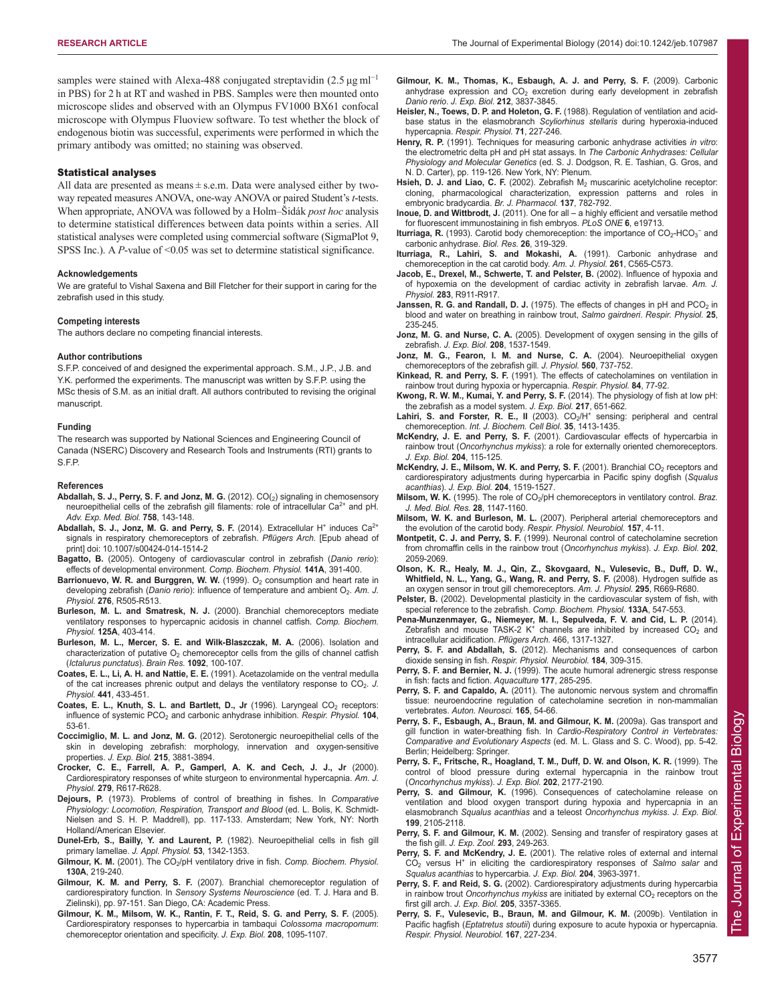samples were stained with Alexa-488 conjugated streptavidin (2.5 μg ml<sup>-1</sup> in PBS) for 2 h at RT and washed in PBS. Samples were then mounted onto microscope slides and observed with an Olympus FV1000 BX61 confocal microscope with Olympus Fluoview software. To test whether the block of endogenous biotin was successful, experiments were performed in which the primary antibody was omitted; no staining was observed.

#### Statistical analyses

All data are presented as means ± s.e.m. Data were analysed either by twoway repeated measures ANOVA, one-way ANOVA or paired Student's *t*-tests. When appropriate, ANOVA was followed by a Holm–Šidák *post hoc* analysis to determine statistical differences between data points within a series. All statistical analyses were completed using commercial software (SigmaPlot 9, SPSS Inc.). A *P*-value of <0.05 was set to determine statistical significance.

#### **Acknowledgements**

We are grateful to Vishal Saxena and Bill Fletcher for their support in caring for the zebrafish used in this study.

#### **Competing interests**

The authors declare no competing financial interests.

#### **Author contributions**

S.F.P. conceived of and designed the experimental approach. S.M., J.P., J.B. and Y.K. performed the experiments. The manuscript was written by S.F.P. using the MSc thesis of S.M. as an initial draft. All authors contributed to revising the original manuscript.

#### **Funding**

The research was supported by National Sciences and Engineering Council of Canada (NSERC) Discovery and Research Tools and Instruments (RTI) grants to S.F.P.

#### **References**

- Abdallah, S. J., Perry, S. F. and Jonz, M. G. (2012). CO(<sub>2</sub>) signaling in chemosensory neuroepithelial cells of the zebrafish gill filaments: role of intracellular  $Ca^{2+}$  and pH. *Adv. Exp. Med. Biol.* **758**, 143-148.
- Abdallah, S. J., Jonz, M. G. and Perry, S. F. (2014). Extracellular H<sup>+</sup> induces Ca<sup>2+</sup> signals in respiratory chemoreceptors of zebrafish. *Pflügers Arch.* [Epub ahead of print] doi: 10.1007/s00424-014-1514-2
- **Bagatto, B.** (2005). Ontogeny of cardiovascular control in zebrafish (*Danio rerio*): effects of developmental environment. *Comp. Biochem. Physiol.* **141A**, 391-400.
- **Barrionuevo, W. R. and Burggren, W. W.** (1999). O<sub>2</sub> consumption and heart rate in developing zebrafish (Danio rerio): influence of temperature and ambient O<sub>2</sub>. Am. J. *Physiol.* **276**, R505-R513.
- **Burleson, M. L. and Smatresk, N. J.** (2000). Branchial chemoreceptors mediate ventilatory responses to hypercapnic acidosis in channel catfish. *Comp. Biochem. Physiol.* **125A**, 403-414.
- **Burleson, M. L., Mercer, S. E. and Wilk-Blaszczak, M. A.** (2006). Isolation and characterization of putative  $O_2$  chemoreceptor cells from the gills of channel catfish (*Ictalurus punctatus*). *Brain Res.* **1092**, 100-107.
- **Coates, E. L., Li, A. H. and Nattie, E. E.** (1991). Acetazolamide on the ventral medulla of the cat increases phrenic output and delays the ventilatory response to CO<sub>2</sub>. J. *Physiol.* **441**, 433-451.
- Coates, E. L., Knuth, S. L. and Bartlett, D., Jr (1996). Laryngeal CO<sub>2</sub> receptors: influence of systemic PCO<sub>2</sub> and carbonic anhydrase inhibition. *Respir. Physiol.* **104**, 53-61.
- **Coccimiglio, M. L. and Jonz, M. G.** (2012). Serotonergic neuroepithelial cells of the skin in developing zebrafish: morphology, innervation and oxygen-sensitive properties. *J. Exp. Biol.* **215**, 3881-3894.
- **Crocker, C. E., Farrell, A. P., Gamperl, A. K. and Cech, J. J., Jr** (2000). Cardiorespiratory responses of white sturgeon to environmental hypercapnia. *Am. J. Physiol.* **279**, R617-R628.
- **Dejours, P.** (1973). Problems of control of breathing in fishes. In *Comparative Physiology: Locomotion, Respiration, Transport and Blood* (ed. L. Bolis, K. Schmidt-Nielsen and S. H. P. Maddrell), pp. 117-133. Amsterdam; New York, NY: North Holland/American Elsevier.
- **Dunel-Erb, S., Bailly, Y. and Laurent, P.** (1982). Neuroepithelial cells in fish gill primary lamellae. *J. Appl. Physiol.* **53**, 1342-1353.
- Gilmour, K. M. (2001). The CO<sub>2</sub>/pH ventilatory drive in fish. Comp. Biochem. Physiol. **130A**, 219-240.
- **Gilmour, K. M. and Perry, S. F.** (2007). Branchial chemoreceptor regulation of cardiorespiratory function. In *Sensory Systems Neuroscience* (ed. T. J. Hara and B. Zielinski), pp. 97-151. San Diego, CA: Academic Press.
- **Gilmour, K. M., Milsom, W. K., Rantin, F. T., Reid, S. G. and Perry, S. F.** (2005). Cardiorespiratory responses to hypercarbia in tambaqui *Colossoma macropomum*: chemoreceptor orientation and specificity. *J. Exp. Biol.* **208**, 1095-1107.
- **Gilmour, K. M., Thomas, K., Esbaugh, A. J. and Perry, S. F.** (2009). Carbonic anhydrase expression and  $CO<sub>2</sub>$  excretion during early development in zebrafish *Danio rerio*. *J. Exp. Biol.* **212**, 3837-3845.
- **Heisler, N., Toews, D. P. and Holeton, G. F.** (1988). Regulation of ventilation and acidbase status in the elasmobranch *Scyliorhinus stellaris* during hyperoxia-induced hypercapnia. *Respir. Physiol.* **71**, 227-246.
- **Henry, R. P.** (1991). Techniques for measuring carbonic anhydrase activities *in vitro*: the electrometric delta pH and pH stat assays. In *The Carbonic Anhydrases: Cellular Physiology and Molecular Genetics* (ed. S. J. Dodgson, R. E. Tashian, G. Gros, and N. D. Carter), pp. 119-126. New York, NY: Plenum.
- Hsieh, D. J. and Liao, C. F. (2002). Zebrafish M<sub>2</sub> muscarinic acetylcholine receptor: cloning, pharmacological characterization, expression patterns and roles in embryonic bradycardia. *Br. J. Pharmacol.* **137**, 782-792.
- **Inoue, D. and Wittbrodt, J.** (2011). One for all a highly efficient and versatile method for fluorescent immunostaining in fish embryos. *PLoS ONE* **6**, e19713.
- Iturriaga, R. (1993). Carotid body chemoreception: the importance of CO<sub>2</sub>-HCO<sub>3</sub><sup>-</sup> and carbonic anhydrase. *Biol. Res.* **26**, 319-329.
- **Iturriaga, R., Lahiri, S. and Mokashi, A.** (1991). Carbonic anhydrase and chemoreception in the cat carotid body. *Am. J. Physiol.* **261**, C565-C573.
- **Jacob, E., Drexel, M., Schwerte, T. and Pelster, B.** (2002). Influence of hypoxia and of hypoxemia on the development of cardiac activity in zebrafish larvae. *Am. J. Physiol.* **283**, R911-R917.
- **Janssen, R. G. and Randall, D. J.** (1975). The effects of changes in pH and PCO<sub>2</sub> in blood and water on breathing in rainbow trout, *Salmo gairdneri*. *Respir. Physiol.* **25**, 235-245.
- **Jonz, M. G. and Nurse, C. A.** (2005). Development of oxygen sensing in the gills of zebrafish. *J. Exp. Biol.* **208**, 1537-1549.
- **Jonz, M. G., Fearon, I. M. and Nurse, C. A.** (2004). Neuroepithelial oxygen chemoreceptors of the zebrafish gill. *J. Physiol.* **560**, 737-752.
- **Kinkead, R. and Perry, S. F.** (1991). The effects of catecholamines on ventilation in rainbow trout during hypoxia or hypercapnia. *Respir. Physiol.* **84**, 77-92.
- **Kwong, R. W. M., Kumai, Y. and Perry, S. F.** (2014). The physiology of fish at low pH: the zebrafish as a model system. *J. Exp. Biol.* **217**, 651-662.
- Lahiri, S. and Forster, R. E., II (2003). CO<sub>2</sub>/H<sup>+</sup> sensing: peripheral and central chemoreception. *Int. J. Biochem. Cell Biol.* **35**, 1413-1435.
- **McKendry, J. E. and Perry, S. F.** (2001). Cardiovascular effects of hypercarbia in rainbow trout (*Oncorhynchus mykiss*): a role for externally oriented chemoreceptors. *J. Exp. Biol.* **204**, 115-125.
- McKendry, J. E., Milsom, W. K. and Perry, S. F. (2001). Branchial CO<sub>2</sub> receptors and cardiorespiratory adjustments during hypercarbia in Pacific spiny dogfish (*Squalus acanthias*). *J. Exp. Biol.* **204**, 1519-1527.
- Milsom, W. K. (1995). The role of CO<sub>2</sub>/pH chemoreceptors in ventilatory control. Braz. *J. Med. Biol. Res.* **28**, 1147-1160.
- **Milsom, W. K. and Burleson, M. L.** (2007). Peripheral arterial chemoreceptors and the evolution of the carotid body. *Respir. Physiol. Neurobiol.* **157**, 4-11.
- **Montpetit, C. J. and Perry, S. F.** (1999). Neuronal control of catecholamine secretion from chromaffin cells in the rainbow trout (*Oncorhynchus mykiss*). *J. Exp. Biol.* **202**, 2059-2069.
- **Olson, K. R., Healy, M. J., Qin, Z., Skovgaard, N., Vulesevic, B., Duff, D. W., Whitfield, N. L., Yang, G., Wang, R. and Perry, S. F.** (2008). Hydrogen sulfide as an oxygen sensor in trout gill chemoreceptors. *Am. J. Physiol.* **295**, R669-R680.
- **Pelster, B.** (2002). Developmental plasticity in the cardiovascular system of fish, with special reference to the zebrafish. *Comp. Biochem. Physiol.* **133A**, 547-553.
- **Pena-Munzenmayer, G., Niemeyer, M. I., Sepulveda, F. V. and Cid, L. P.** (2014).<br>Zebrafish and mouse TASK-2 K<sup>+</sup> channels are inhibited by increased CO<sub>2</sub> and intracellular acidification. *Pflügers Arch.* 466, 1317-1327.
- **Perry, S. F. and Abdallah, S.** (2012). Mechanisms and consequences of carbon dioxide sensing in fish. *Respir. Physiol. Neurobiol.* **184**, 309-315.
- Perry, S. F. and Bernier, N. J. (1999). The acute humoral adrenergic stress response in fish: facts and fiction. *Aquaculture* **177**, 285-295.
- **Perry, S. F. and Capaldo, A.** (2011). The autonomic nervous system and chromaffin tissue: neuroendocrine regulation of catecholamine secretion in non-mammalian vertebrates. *Auton. Neurosci.* **165**, 54-66.
- **Perry, S. F., Esbaugh, A., Braun, M. and Gilmour, K. M.** (2009a). Gas transport and gill function in water-breathing fish. In *Cardio-Respiratory Control in Vertebrates: Comparative and Evolutionary Aspects* (ed. M. L. Glass and S. C. Wood), pp. 5-42. Berlin; Heidelberg: Springer.
- **Perry, S. F., Fritsche, R., Hoagland, T. M., Duff, D. W. and Olson, K. R.** (1999). The control of blood pressure during external hypercapnia in the rainbow trout (*Oncorhynchus mykiss*). *J. Exp. Biol.* **202**, 2177-2190.
- Perry, S. and Gilmour, K. (1996). Consequences of catecholamine release on ventilation and blood oxygen transport during hypoxia and hypercapnia in an elasmobranch *Squalus acanthias* and a teleost *Oncorhynchus mykiss*. *J. Exp. Biol.* **199**, 2105-2118.
- **Perry, S. F. and Gilmour, K. M.** (2002). Sensing and transfer of respiratory gases at the fish gill. *J. Exp. Zool.* **293**, 249-263.
- **Perry, S. F. and McKendry, J. E.** (2001). The relative roles of external and internal CO2 versus H+ in eliciting the cardiorespiratory responses of *Salmo salar* and *Squalus acanthias* to hypercarbia. *J. Exp. Biol.* **204**, 3963-3971.
- **Perry, S. F. and Reid, S. G.** (2002). Cardiorespiratory adjustments during hypercarbia in rainbow trout *Oncorhynchus mykiss* are initiated by external CO<sub>2</sub> receptors on the first gill arch. *J. Exp. Biol.* **205**, 3357-3365.
- **Perry, S. F., Vulesevic, B., Braun, M. and Gilmour, K. M.** (2009b). Ventilation in Pacific hagfish (*Eptatretus stoutii*) during exposure to acute hypoxia or hypercapnia. *Respir. Physiol. Neurobiol.* **167**, 227-234.